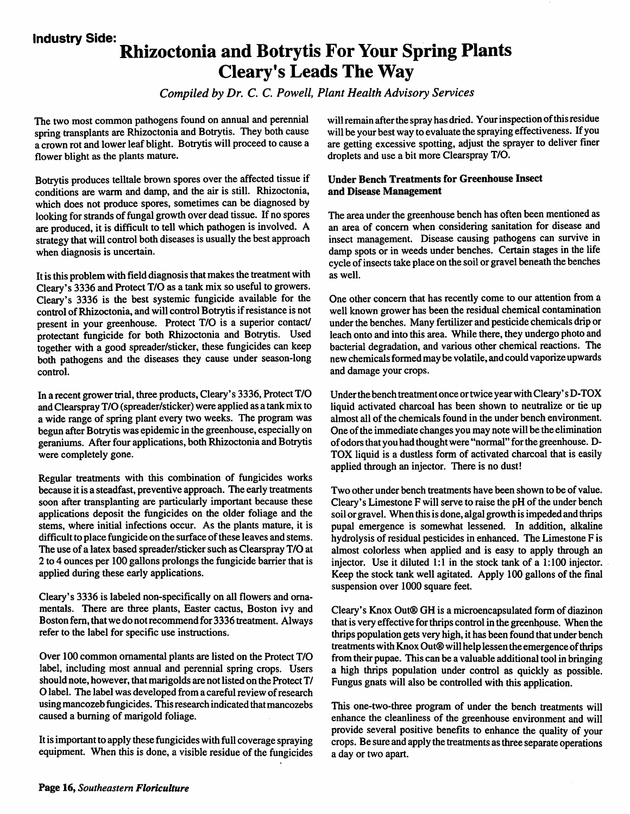#### *Industry Side:*

## *Rhizoctonia and Botrytis For Your Spring Plants Cleary's Leads The Way*

**Compiled by Dr. C. C. Powell, Plant Health Advisory Services** 

The two most common pathogens found on annual and perennial spring transplants are Rhizoctonia and Botrytis. They both cause a crown rot and lower leaf blight. Botrytis will proceed to cause a flower blight as the plants mature.

Botrytis produces telltale brown spores over the affected tissue if conditions are warm and damp, and the air is still. Rhizoctonia, which does not produce spores, sometimes can be diagnosed by looking for strands of fungal growth over dead tissue. If no spores are produced, it is difficult to tell which pathogen is involved. A strategy that will control both diseases is usually the best approach when diagnosis is uncertain.

It is this problem with field diagnosis that makes the treatment with Cleary's 3336 and Protect T/O as a tank mix so useful to growers. Cleary's 3336 is the best systemic fungicide available for the control of Rhizoctonia, and will control Botrytis if resistance is not present in your greenhouse. Protect T/O is a superior contact/ protectant fungicide for both Rhizoctonia and Botrytis. Used together with a good spreader/sticker, these fungicides can keep both pathogens and the diseases they cause under season-long control.

In a recent grower trial, three products, Cleary's 3336, Protect T/O and Clearspray T/O (spreader/sticker) were applied as a tank mix to a wide range of spring plant every two weeks. The program was begun after Botrytis was epidemic in the greenhouse, especially on geraniums. After four applications, both Rhizoctonia and Botrytis were completely gone.

Regular treatments with this combination of fungicides works because it is a steadfast, preventive approach. The early treatments soon after transplanting are particularly important because these applications deposit the fungicides on the older foliage and the stems, where initial infections occur. As the plants mature, it is difficult to place fungicide on the surface of these leaves and stems. The use of a latex based spreader/sticker such as Clearspray T/O at 2 to 4 ounces per 100 gallons prolongs the fungicide barrier that is applied during these early applications.

Cleary's 3336 is labeled non-specifically on all flowers and orna mentals. There are three plants, Easter cactus, Boston ivy and Boston fern, that we do notrecommend for 3336 treatment. Always refer to the label for specific use instructions.

Over 100 common ornamental plants are listed on the Protect T/O label, including most annual and perennial spring crops. Users should note, however, that marigolds are not listed on the ProtectT/ O label. The label was developed from a careful review of research using mancozeb fungicides. Thisresearch indicated that mancozebs caused a burning of marigold foliage.

It is important to apply these fungicides with full coverage spraying equipment. When this is done, a visible residue of the fungicides will remain after the spray has dried. Your inspection of this residue will be your best way to evaluate the spraying effectiveness. If you are getting excessive spotting, adjust the sprayer to deliver finer droplets and use a bit more Clearspray T/O.

#### *Under Bench Treatments for Greenhouse Insect and Disease Management*

The area under the greenhouse bench has often been mentioned as an area of concern when considering sanitation for disease and insect management. Disease causing pathogens can survive in damp spots or in weeds under benches. Certain stages in the life cycle of insects take place on the soil or gravel beneath the benches as well.

One other concern that has recently come to our attention from a well known grower has been the residual chemical contamination under the benches. Many fertilizer and pesticide chemicals drip or leach onto and into this area. While there, they undergo photo and bacterial degradation, and various other chemical reactions. The new chemicals formed may be volatile, and could vaporize upwards and damage your crops.

Under the bench treatment once or twice year with Cleary's D-TOX liquid activated charcoal has been shown to neutralize or tie up almost all of the chemicals found in the under bench environment. One of the immediate changes you may note will be the elimination of odors that you had thought were "normal" for the greenhouse. D-TOX liquid is a dustless form of activated charcoal that is easily applied through an injector. There is no dust!

Two other under bench treatments have been shown to be of value. Cleary's Limestone F will serve to raise the pH of the under bench soil or gravel. When this is done, algal growth is impeded and thrips pupal emergence is somewhat lessened. In addition, alkaline hydrolysis of residual pesticides in enhanced. The Limestone F is almost colorless when applied and is easy to apply through an injector. Use it diluted 1:1 in the stock tank of a 1:100 injector. Keep the stock tank well agitated. Apply 100 gallons of the final suspension over 1000 square feet.

Cleary's Knox Out® GH is a microencapsulated form of diazinon that is very effective for thrips control in the greenhouse. Whenthe thrips population gets very high, it has been found that under bench treatments with Knox Out® will help lessen the emergence of thrips from their pupae. This can be a valuable additional tool in bringing a high thrips population under control as quickly as possible. Fungus gnats will also be controlled with this application.

This one-two-three program of under the bench treatments will enhance the cleanliness of the greenhouse environment and will provide several positive benefits to enhance the quality of your crops. Be sure and apply the treatments as three separate operations a day or two apart.